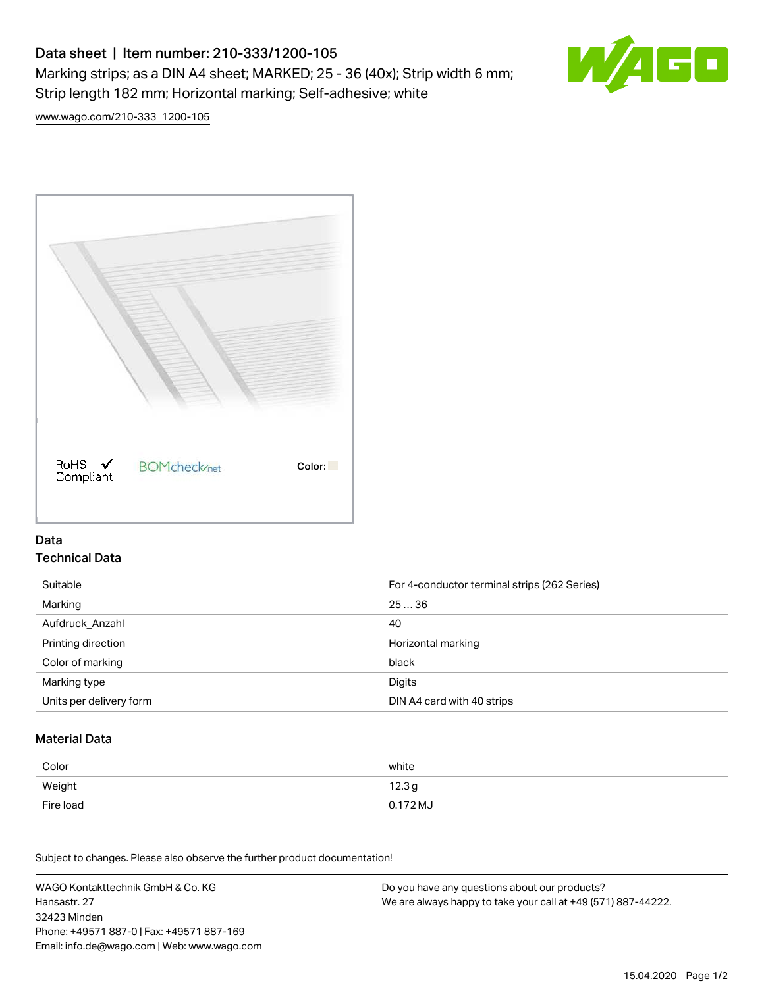# Data sheet | Item number: 210-333/1200-105 Marking strips; as a DIN A4 sheet; MARKED; 25 - 36 (40x); Strip width 6 mm; Strip length 182 mm; Horizontal marking; Self-adhesive; white



[www.wago.com/210-333\\_1200-105](http://www.wago.com/210-333_1200-105)



### Data Technical Data

| Suitable                | For 4-conductor terminal strips (262 Series) |
|-------------------------|----------------------------------------------|
| Marking                 | 2536                                         |
| Aufdruck Anzahl         | 40                                           |
| Printing direction      | Horizontal marking                           |
| Color of marking        | black                                        |
| Marking type            | Digits                                       |
| Units per delivery form | DIN A4 card with 40 strips                   |

#### Material Data

| Color     | white             |
|-----------|-------------------|
| Weight    | 12.3 <sub>g</sub> |
| Fire load | 0.172 MJ          |

Subject to changes. Please also observe the further product documentation!

WAGO Kontakttechnik GmbH & Co. KG Hansastr. 27 32423 Minden Phone: +49571 887-0 | Fax: +49571 887-169 Email: info.de@wago.com | Web: www.wago.com Do you have any questions about our products? We are always happy to take your call at +49 (571) 887-44222.